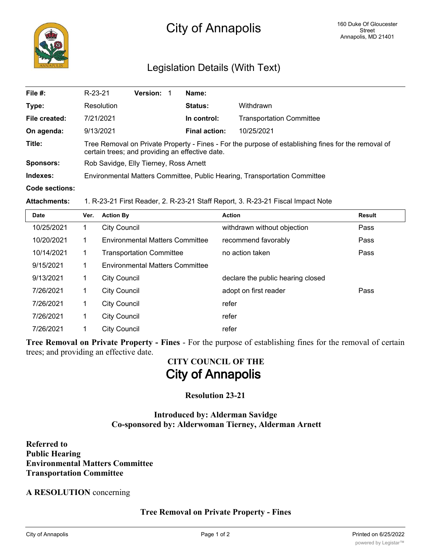

## Legislation Details (With Text)

| File #:               | R-23-21                                                                                                                                                | <b>Version:</b> |  | Name:                |                                 |
|-----------------------|--------------------------------------------------------------------------------------------------------------------------------------------------------|-----------------|--|----------------------|---------------------------------|
| Type:                 | Resolution                                                                                                                                             |                 |  | Status:              | Withdrawn                       |
| File created:         | 7/21/2021                                                                                                                                              |                 |  | In control:          | <b>Transportation Committee</b> |
| On agenda:            | 9/13/2021                                                                                                                                              |                 |  | <b>Final action:</b> | 10/25/2021                      |
| Title:                | Tree Removal on Private Property - Fines - For the purpose of establishing fines for the removal of<br>certain trees; and providing an effective date. |                 |  |                      |                                 |
| <b>Sponsors:</b>      | Rob Savidge, Elly Tierney, Ross Arnett                                                                                                                 |                 |  |                      |                                 |
| Indexes:              | Environmental Matters Committee, Public Hearing, Transportation Committee                                                                              |                 |  |                      |                                 |
| <b>Code sections:</b> |                                                                                                                                                        |                 |  |                      |                                 |

#### **Attachments:** 1. R-23-21 First Reader, 2. R-23-21 Staff Report, 3. R-23-21 Fiscal Impact Note

| Date       | Ver. | <b>Action By</b>                       | <b>Action</b>                     | <b>Result</b> |
|------------|------|----------------------------------------|-----------------------------------|---------------|
| 10/25/2021 | 1    | <b>City Council</b>                    | withdrawn without objection       | Pass          |
| 10/20/2021 | 1    | <b>Environmental Matters Committee</b> | recommend favorably               | Pass          |
| 10/14/2021 | 1    | <b>Transportation Committee</b>        | no action taken                   | Pass          |
| 9/15/2021  | 1    | <b>Environmental Matters Committee</b> |                                   |               |
| 9/13/2021  | 1    | <b>City Council</b>                    | declare the public hearing closed |               |
| 7/26/2021  | 1    | <b>City Council</b>                    | adopt on first reader             | Pass          |
| 7/26/2021  | 1    | <b>City Council</b>                    | refer                             |               |
| 7/26/2021  | 1    | <b>City Council</b>                    | refer                             |               |
| 7/26/2021  | 1    | <b>City Council</b>                    | refer                             |               |

**Tree Removal on Private Property - Fines** - For the purpose of establishing fines for the removal of certain trees; and providing an effective date.

# **CITY COUNCIL OF THE City of Annapolis**

## **Resolution 23-21**

### **Introduced by: Alderman Savidge Co-sponsored by: Alderwoman Tierney, Alderman Arnett**

**Referred to Public Hearing Environmental Matters Committee Transportation Committee**

#### **A RESOLUTION** concerning

**Tree Removal on Private Property - Fines**